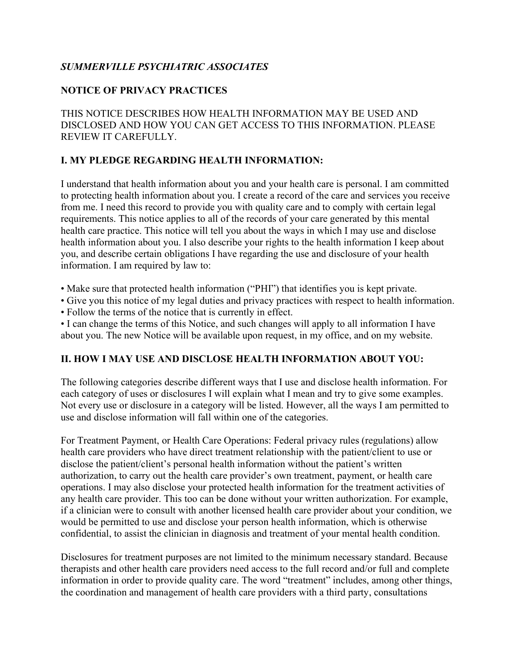## SUMMERVILLE PSYCHIATRIC ASSOCIATES

#### NOTICE OF PRIVACY PRACTICES

#### THIS NOTICE DESCRIBES HOW HEALTH INFORMATION MAY BE USED AND DISCLOSED AND HOW YOU CAN GET ACCESS TO THIS INFORMATION. PLEASE REVIEW IT CAREFULLY.

## I. MY PLEDGE REGARDING HEALTH INFORMATION:

I understand that health information about you and your health care is personal. I am committed to protecting health information about you. I create a record of the care and services you receive from me. I need this record to provide you with quality care and to comply with certain legal requirements. This notice applies to all of the records of your care generated by this mental health care practice. This notice will tell you about the ways in which I may use and disclose health information about you. I also describe your rights to the health information I keep about you, and describe certain obligations I have regarding the use and disclosure of your health information. I am required by law to:

• Make sure that protected health information ("PHI") that identifies you is kept private.

- Give you this notice of my legal duties and privacy practices with respect to health information.
- Follow the terms of the notice that is currently in effect.

• I can change the terms of this Notice, and such changes will apply to all information I have about you. The new Notice will be available upon request, in my office, and on my website.

#### II. HOW I MAY USE AND DISCLOSE HEALTH INFORMATION ABOUT YOU:

The following categories describe different ways that I use and disclose health information. For each category of uses or disclosures I will explain what I mean and try to give some examples. Not every use or disclosure in a category will be listed. However, all the ways I am permitted to use and disclose information will fall within one of the categories.

For Treatment Payment, or Health Care Operations: Federal privacy rules (regulations) allow health care providers who have direct treatment relationship with the patient/client to use or disclose the patient/client's personal health information without the patient's written authorization, to carry out the health care provider's own treatment, payment, or health care operations. I may also disclose your protected health information for the treatment activities of any health care provider. This too can be done without your written authorization. For example, if a clinician were to consult with another licensed health care provider about your condition, we would be permitted to use and disclose your person health information, which is otherwise confidential, to assist the clinician in diagnosis and treatment of your mental health condition.

Disclosures for treatment purposes are not limited to the minimum necessary standard. Because therapists and other health care providers need access to the full record and/or full and complete information in order to provide quality care. The word "treatment" includes, among other things, the coordination and management of health care providers with a third party, consultations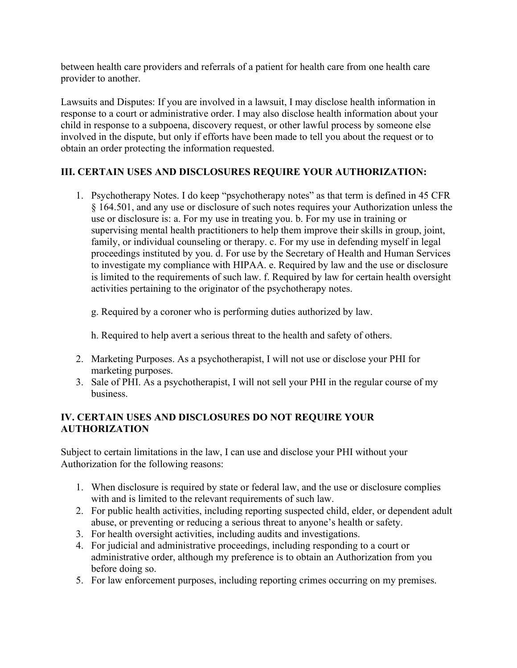between health care providers and referrals of a patient for health care from one health care provider to another.

Lawsuits and Disputes: If you are involved in a lawsuit, I may disclose health information in response to a court or administrative order. I may also disclose health information about your child in response to a subpoena, discovery request, or other lawful process by someone else involved in the dispute, but only if efforts have been made to tell you about the request or to obtain an order protecting the information requested.

## III. CERTAIN USES AND DISCLOSURES REQUIRE YOUR AUTHORIZATION:

1. Psychotherapy Notes. I do keep "psychotherapy notes" as that term is defined in 45 CFR § 164.501, and any use or disclosure of such notes requires your Authorization unless the use or disclosure is: a. For my use in treating you. b. For my use in training or supervising mental health practitioners to help them improve their skills in group, joint, family, or individual counseling or therapy. c. For my use in defending myself in legal proceedings instituted by you. d. For use by the Secretary of Health and Human Services to investigate my compliance with HIPAA. e. Required by law and the use or disclosure is limited to the requirements of such law. f. Required by law for certain health oversight activities pertaining to the originator of the psychotherapy notes.

g. Required by a coroner who is performing duties authorized by law.

h. Required to help avert a serious threat to the health and safety of others.

- 2. Marketing Purposes. As a psychotherapist, I will not use or disclose your PHI for marketing purposes.
- 3. Sale of PHI. As a psychotherapist, I will not sell your PHI in the regular course of my business.

## IV. CERTAIN USES AND DISCLOSURES DO NOT REQUIRE YOUR AUTHORIZATION

Subject to certain limitations in the law, I can use and disclose your PHI without your Authorization for the following reasons:

- 1. When disclosure is required by state or federal law, and the use or disclosure complies with and is limited to the relevant requirements of such law.
- 2. For public health activities, including reporting suspected child, elder, or dependent adult abuse, or preventing or reducing a serious threat to anyone's health or safety.
- 3. For health oversight activities, including audits and investigations.
- 4. For judicial and administrative proceedings, including responding to a court or administrative order, although my preference is to obtain an Authorization from you before doing so.
- 5. For law enforcement purposes, including reporting crimes occurring on my premises.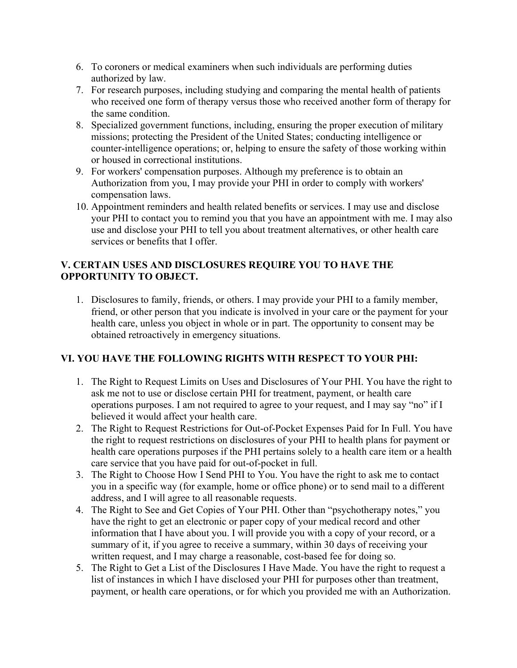- 6. To coroners or medical examiners when such individuals are performing duties authorized by law.
- 7. For research purposes, including studying and comparing the mental health of patients who received one form of therapy versus those who received another form of therapy for the same condition.
- 8. Specialized government functions, including, ensuring the proper execution of military missions; protecting the President of the United States; conducting intelligence or counter-intelligence operations; or, helping to ensure the safety of those working within or housed in correctional institutions.
- 9. For workers' compensation purposes. Although my preference is to obtain an Authorization from you, I may provide your PHI in order to comply with workers' compensation laws.
- 10. Appointment reminders and health related benefits or services. I may use and disclose your PHI to contact you to remind you that you have an appointment with me. I may also use and disclose your PHI to tell you about treatment alternatives, or other health care services or benefits that I offer.

### V. CERTAIN USES AND DISCLOSURES REQUIRE YOU TO HAVE THE OPPORTUNITY TO OBJECT.

1. Disclosures to family, friends, or others. I may provide your PHI to a family member, friend, or other person that you indicate is involved in your care or the payment for your health care, unless you object in whole or in part. The opportunity to consent may be obtained retroactively in emergency situations.

# VI. YOU HAVE THE FOLLOWING RIGHTS WITH RESPECT TO YOUR PHI:

- 1. The Right to Request Limits on Uses and Disclosures of Your PHI. You have the right to ask me not to use or disclose certain PHI for treatment, payment, or health care operations purposes. I am not required to agree to your request, and I may say "no" if I believed it would affect your health care.
- 2. The Right to Request Restrictions for Out-of-Pocket Expenses Paid for In Full. You have the right to request restrictions on disclosures of your PHI to health plans for payment or health care operations purposes if the PHI pertains solely to a health care item or a health care service that you have paid for out-of-pocket in full.
- 3. The Right to Choose How I Send PHI to You. You have the right to ask me to contact you in a specific way (for example, home or office phone) or to send mail to a different address, and I will agree to all reasonable requests.
- 4. The Right to See and Get Copies of Your PHI. Other than "psychotherapy notes," you have the right to get an electronic or paper copy of your medical record and other information that I have about you. I will provide you with a copy of your record, or a summary of it, if you agree to receive a summary, within 30 days of receiving your written request, and I may charge a reasonable, cost-based fee for doing so.
- 5. The Right to Get a List of the Disclosures I Have Made. You have the right to request a list of instances in which I have disclosed your PHI for purposes other than treatment, payment, or health care operations, or for which you provided me with an Authorization.